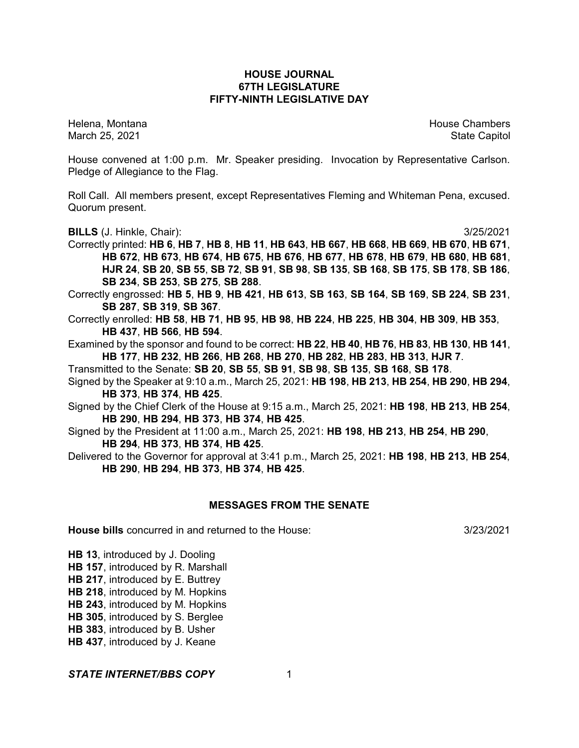## **HOUSE JOURNAL 67TH LEGISLATURE FIFTY-NINTH LEGISLATIVE DAY**

Helena, Montana House Chambers Chambers Chambers and House Chambers Chambers Chambers Chambers and House Chambers and House Chambers and House Chambers and House Chambers and House Chambers and House Chambers and House Cha March 25, 2021 **State Capitol** 

House convened at 1:00 p.m. Mr. Speaker presiding. Invocation by Representative Carlson. Pledge of Allegiance to the Flag.

Roll Call. All members present, except Representatives Fleming and Whiteman Pena, excused. Quorum present.

**BILLS** (J. Hinkle, Chair): 3/25/2021

Correctly printed: HB 6, HB 7, HB 8, HB 11, HB 643, HB 667, HB 668, HB 669, HB 670, HB 671, **HB 672**, **HB 673**, **HB 674**, **HB 675**, **HB 676**, **HB 677**, **HB 678**, **HB 679**, **HB 680**, **HB 681**, HJR 24, SB 20, SB 55, SB 72, SB 91, SB 98, SB 135, SB 168, SB 175, SB 178, SB 186, **SB 234**, **SB 253**, **SB 275**, **SB 288**.

Correctly engrossed: **HB 5**, **HB 9**, **HB 421**, **HB 613**, **SB 163**, **SB 164**, **SB 169**, **SB 224**, **SB 231**, **SB 287**, **SB 319**, **SB 367**.

Correctly enrolled: **HB 58**, **HB 71**, **HB 95**, **HB 98**, **HB 224**, **HB 225**, **HB 304**, **HB 309**, **HB 353**, **HB 437**, **HB 566**, **HB 594**.

Examined by the sponsor and found to be correct: **HB 22**, **HB 40**, **HB 76**, **HB 83**, **HB 130**, **HB 141**, **HB 177**, **HB 232**, **HB 266**, **HB 268**, **HB 270**, **HB 282**, **HB 283**, **HB 313**, **HJR 7**.

Transmitted to the Senate: **SB 20**, **SB 55**, **SB 91**, **SB 98**, **SB 135**, **SB 168**, **SB 178**.

Signed by the Speaker at 9:10 a.m., March 25, 2021: **HB 198**, **HB 213**, **HB 254**, **HB 290**, **HB 294**, **HB 373**, **HB 374**, **HB 425**.

Signed by the Chief Clerk of the House at 9:15 a.m., March 25, 2021: **HB 198**, **HB 213**, **HB 254**, **HB 290**, **HB 294**, **HB 373**, **HB 374**, **HB 425**.

Signed by the President at 11:00 a.m., March 25, 2021: **HB 198**, **HB 213**, **HB 254**, **HB 290**, **HB 294**, **HB 373**, **HB 374**, **HB 425**.

Delivered to the Governor for approval at 3:41 p.m., March 25, 2021: **HB 198**, **HB 213**, **HB 254**, **HB 290**, **HB 294**, **HB 373**, **HB 374**, **HB 425**.

### **MESSAGES FROM THE SENATE**

**House bills** concurred in and returned to the House: 3/23/2021

**HB 13**, introduced by J. Dooling

**HB 157**, introduced by R. Marshall

**HB 217**, introduced by E. Buttrey

**HB 218**, introduced by M. Hopkins

**HB 243**, introduced by M. Hopkins

**HB 305**, introduced by S. Berglee

**HB 383**, introduced by B. Usher

**HB 437**, introduced by J. Keane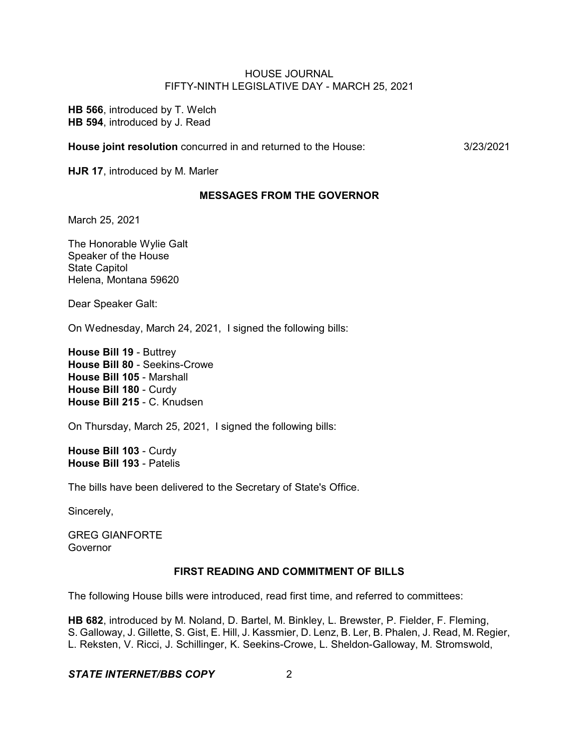**HB 566**, introduced by T. Welch **HB 594**, introduced by J. Read

**House joint resolution** concurred in and returned to the House: 3/23/2021

**HJR 17**, introduced by M. Marler

#### **MESSAGES FROM THE GOVERNOR**

March 25, 2021

The Honorable Wylie Galt Speaker of the House State Capitol Helena, Montana 59620

Dear Speaker Galt:

On Wednesday, March 24, 2021, I signed the following bills:

**House Bill 19** - Buttrey **House Bill 80** - Seekins-Crowe **House Bill 105** - Marshall **House Bill 180** - Curdy **House Bill 215** - C. Knudsen

On Thursday, March 25, 2021, I signed the following bills:

**House Bill 103** - Curdy **House Bill 193** - Patelis

The bills have been delivered to the Secretary of State's Office.

Sincerely,

GREG GIANFORTE Governor

#### **FIRST READING AND COMMITMENT OF BILLS**

The following House bills were introduced, read first time, and referred to committees:

**HB 682**, introduced by M. Noland, D. Bartel, M. Binkley, L. Brewster, P. Fielder, F. Fleming, S. Galloway, J. Gillette, S. Gist, E. Hill, J. Kassmier, D. Lenz, B. Ler, B. Phalen, J. Read, M. Regier, L. Reksten, V. Ricci, J. Schillinger, K. Seekins-Crowe, L. Sheldon-Galloway, M. Stromswold,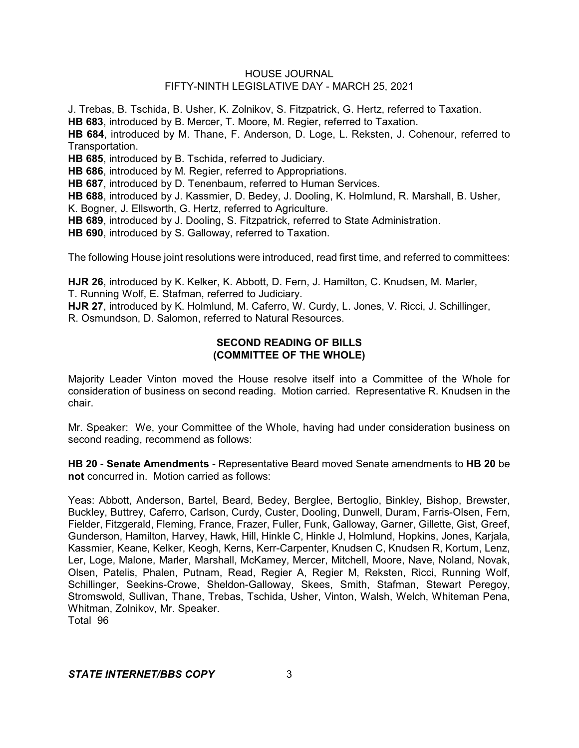J. Trebas, B. Tschida, B. Usher, K. Zolnikov, S. Fitzpatrick, G. Hertz, referred to Taxation.

**HB 683**, introduced by B. Mercer, T. Moore, M. Regier, referred to Taxation.

**HB 684**, introduced by M. Thane, F. Anderson, D. Loge, L. Reksten, J. Cohenour, referred to Transportation.

**HB 685**, introduced by B. Tschida, referred to Judiciary.

**HB 686**, introduced by M. Regier, referred to Appropriations.

**HB 687**, introduced by D. Tenenbaum, referred to Human Services.

**HB 688**, introduced by J. Kassmier, D. Bedey, J. Dooling, K. Holmlund, R. Marshall, B. Usher,

K. Bogner, J. Ellsworth, G. Hertz, referred to Agriculture.

**HB 689**, introduced by J. Dooling, S. Fitzpatrick, referred to State Administration.

**HB 690**, introduced by S. Galloway, referred to Taxation.

The following House joint resolutions were introduced, read first time, and referred to committees:

**HJR 26**, introduced by K. Kelker, K. Abbott, D. Fern, J. Hamilton, C. Knudsen, M. Marler, T. Running Wolf, E. Stafman, referred to Judiciary.

**HJR 27**, introduced by K. Holmlund, M. Caferro, W. Curdy, L. Jones, V. Ricci, J. Schillinger, R. Osmundson, D. Salomon, referred to Natural Resources.

## **SECOND READING OF BILLS (COMMITTEE OF THE WHOLE)**

Majority Leader Vinton moved the House resolve itself into a Committee of the Whole for consideration of business on second reading. Motion carried. Representative R. Knudsen in the chair.

Mr. Speaker: We, your Committee of the Whole, having had under consideration business on second reading, recommend as follows:

**HB 20** - **Senate Amendments** - Representative Beard moved Senate amendments to **HB 20** be **not** concurred in. Motion carried as follows:

Yeas: Abbott, Anderson, Bartel, Beard, Bedey, Berglee, Bertoglio, Binkley, Bishop, Brewster, Buckley, Buttrey, Caferro, Carlson, Curdy, Custer, Dooling, Dunwell, Duram, Farris-Olsen, Fern, Fielder, Fitzgerald, Fleming, France, Frazer, Fuller, Funk, Galloway, Garner, Gillette, Gist, Greef, Gunderson, Hamilton, Harvey, Hawk, Hill, Hinkle C, Hinkle J, Holmlund, Hopkins, Jones, Karjala, Kassmier, Keane, Kelker, Keogh, Kerns, Kerr-Carpenter, Knudsen C, Knudsen R, Kortum, Lenz, Ler, Loge, Malone, Marler, Marshall, McKamey, Mercer, Mitchell, Moore, Nave, Noland, Novak, Olsen, Patelis, Phalen, Putnam, Read, Regier A, Regier M, Reksten, Ricci, Running Wolf, Schillinger, Seekins-Crowe, Sheldon-Galloway, Skees, Smith, Stafman, Stewart Peregoy, Stromswold, Sullivan, Thane, Trebas, Tschida, Usher, Vinton, Walsh, Welch, Whiteman Pena, Whitman, Zolnikov, Mr. Speaker. Total 96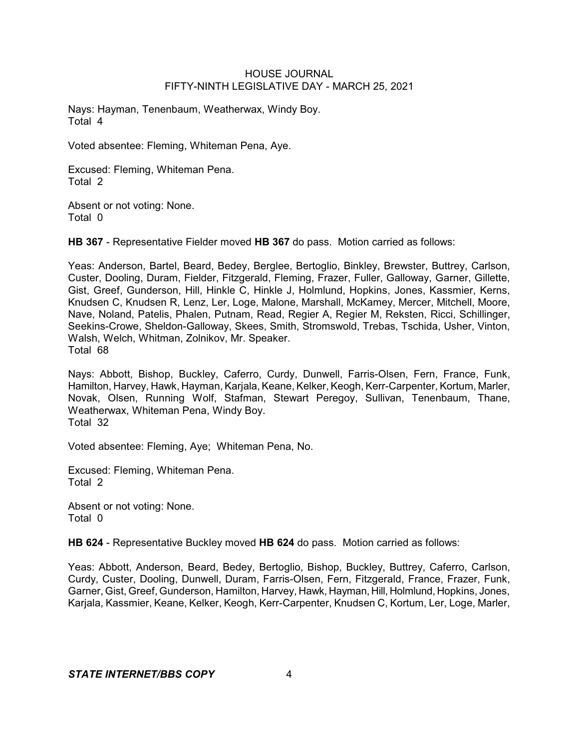Nays: Hayman, Tenenbaum, Weatherwax, Windy Boy. Total 4

Voted absentee: Fleming, Whiteman Pena, Aye.

Excused: Fleming, Whiteman Pena. Total 2

Absent or not voting: None. Total 0

**HB 367** - Representative Fielder moved **HB 367** do pass. Motion carried as follows:

Yeas: Anderson, Bartel, Beard, Bedey, Berglee, Bertoglio, Binkley, Brewster, Buttrey, Carlson, Custer, Dooling, Duram, Fielder, Fitzgerald, Fleming, Frazer, Fuller, Galloway, Garner, Gillette, Gist, Greef, Gunderson, Hill, Hinkle C, Hinkle J, Holmlund, Hopkins, Jones, Kassmier, Kerns, Knudsen C, Knudsen R, Lenz, Ler, Loge, Malone, Marshall, McKamey, Mercer, Mitchell, Moore, Nave, Noland, Patelis, Phalen, Putnam, Read, Regier A, Regier M, Reksten, Ricci, Schillinger, Seekins-Crowe, Sheldon-Galloway, Skees, Smith, Stromswold, Trebas, Tschida, Usher, Vinton, Walsh, Welch, Whitman, Zolnikov, Mr. Speaker. Total 68

Nays: Abbott, Bishop, Buckley, Caferro, Curdy, Dunwell, Farris-Olsen, Fern, France, Funk, Hamilton, Harvey, Hawk, Hayman, Karjala, Keane, Kelker, Keogh, Kerr-Carpenter, Kortum, Marler, Novak, Olsen, Running Wolf, Stafman, Stewart Peregoy, Sullivan, Tenenbaum, Thane, Weatherwax, Whiteman Pena, Windy Boy. Total 32

Voted absentee: Fleming, Aye; Whiteman Pena, No.

Excused: Fleming, Whiteman Pena. Total 2

Absent or not voting: None. Total 0

**HB 624** - Representative Buckley moved **HB 624** do pass. Motion carried as follows:

Yeas: Abbott, Anderson, Beard, Bedey, Bertoglio, Bishop, Buckley, Buttrey, Caferro, Carlson, Curdy, Custer, Dooling, Dunwell, Duram, Farris-Olsen, Fern, Fitzgerald, France, Frazer, Funk, Garner, Gist, Greef, Gunderson, Hamilton, Harvey, Hawk, Hayman, Hill, Holmlund, Hopkins, Jones, Karjala, Kassmier, Keane, Kelker, Keogh, Kerr-Carpenter, Knudsen C, Kortum, Ler, Loge, Marler,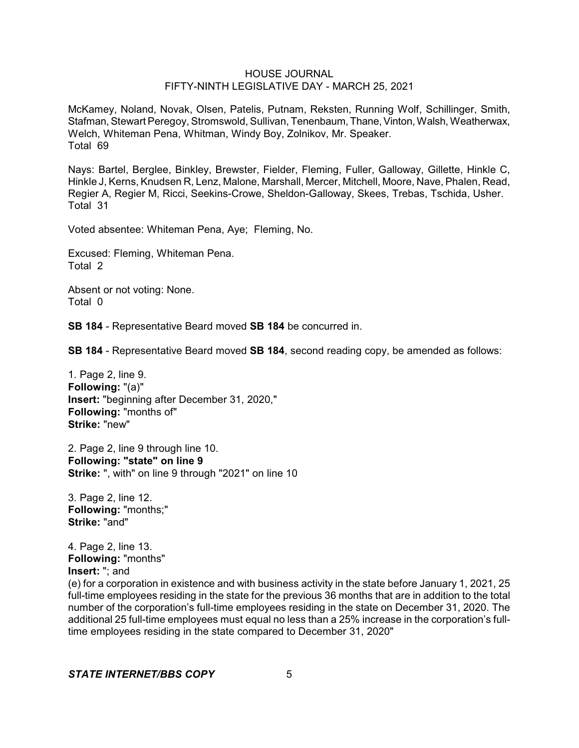McKamey, Noland, Novak, Olsen, Patelis, Putnam, Reksten, Running Wolf, Schillinger, Smith, Stafman, Stewart Peregoy, Stromswold, Sullivan, Tenenbaum, Thane, Vinton, Walsh, Weatherwax, Welch, Whiteman Pena, Whitman, Windy Boy, Zolnikov, Mr. Speaker. Total 69

Nays: Bartel, Berglee, Binkley, Brewster, Fielder, Fleming, Fuller, Galloway, Gillette, Hinkle C, Hinkle J, Kerns, Knudsen R, Lenz, Malone, Marshall, Mercer, Mitchell, Moore, Nave, Phalen, Read, Regier A, Regier M, Ricci, Seekins-Crowe, Sheldon-Galloway, Skees, Trebas, Tschida, Usher. Total 31

Voted absentee: Whiteman Pena, Aye; Fleming, No.

Excused: Fleming, Whiteman Pena. Total 2

Absent or not voting: None. Total 0

**SB 184** - Representative Beard moved **SB 184** be concurred in.

**SB 184** - Representative Beard moved **SB 184**, second reading copy, be amended as follows:

1. Page 2, line 9. **Following:** "(a)" **Insert:** "beginning after December 31, 2020," **Following:** "months of" **Strike:** "new"

2. Page 2, line 9 through line 10. **Following: "state" on line 9 Strike:** ", with" on line 9 through "2021" on line 10

3. Page 2, line 12. **Following:** "months;" **Strike:** "and"

4. Page 2, line 13. **Following:** "months" **Insert:** "; and

(e) for a corporation in existence and with business activity in the state before January 1, 2021, 25 full-time employees residing in the state for the previous 36 months that are in addition to the total number of the corporation's full-time employees residing in the state on December 31, 2020. The additional 25 full-time employees must equal no less than a 25% increase in the corporation's fulltime employees residing in the state compared to December 31, 2020"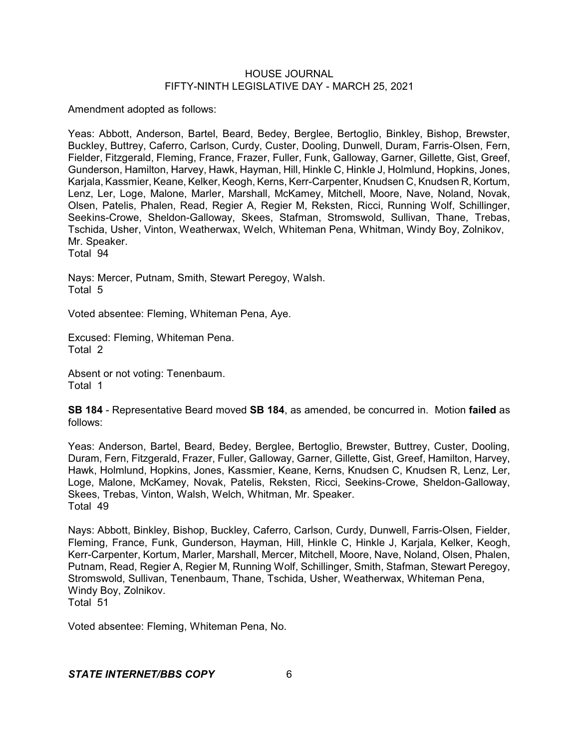Amendment adopted as follows:

Yeas: Abbott, Anderson, Bartel, Beard, Bedey, Berglee, Bertoglio, Binkley, Bishop, Brewster, Buckley, Buttrey, Caferro, Carlson, Curdy, Custer, Dooling, Dunwell, Duram, Farris-Olsen, Fern, Fielder, Fitzgerald, Fleming, France, Frazer, Fuller, Funk, Galloway, Garner, Gillette, Gist, Greef, Gunderson, Hamilton, Harvey, Hawk, Hayman, Hill, Hinkle C, Hinkle J, Holmlund, Hopkins, Jones, Karjala, Kassmier, Keane, Kelker, Keogh, Kerns, Kerr-Carpenter, Knudsen C, Knudsen R, Kortum, Lenz, Ler, Loge, Malone, Marler, Marshall, McKamey, Mitchell, Moore, Nave, Noland, Novak, Olsen, Patelis, Phalen, Read, Regier A, Regier M, Reksten, Ricci, Running Wolf, Schillinger, Seekins-Crowe, Sheldon-Galloway, Skees, Stafman, Stromswold, Sullivan, Thane, Trebas, Tschida, Usher, Vinton, Weatherwax, Welch, Whiteman Pena, Whitman, Windy Boy, Zolnikov, Mr. Speaker.

Total 94

Nays: Mercer, Putnam, Smith, Stewart Peregoy, Walsh. Total 5

Voted absentee: Fleming, Whiteman Pena, Aye.

Excused: Fleming, Whiteman Pena. Total 2

Absent or not voting: Tenenbaum. Total 1

**SB 184** - Representative Beard moved **SB 184**, as amended, be concurred in. Motion **failed** as follows:

Yeas: Anderson, Bartel, Beard, Bedey, Berglee, Bertoglio, Brewster, Buttrey, Custer, Dooling, Duram, Fern, Fitzgerald, Frazer, Fuller, Galloway, Garner, Gillette, Gist, Greef, Hamilton, Harvey, Hawk, Holmlund, Hopkins, Jones, Kassmier, Keane, Kerns, Knudsen C, Knudsen R, Lenz, Ler, Loge, Malone, McKamey, Novak, Patelis, Reksten, Ricci, Seekins-Crowe, Sheldon-Galloway, Skees, Trebas, Vinton, Walsh, Welch, Whitman, Mr. Speaker. Total 49

Nays: Abbott, Binkley, Bishop, Buckley, Caferro, Carlson, Curdy, Dunwell, Farris-Olsen, Fielder, Fleming, France, Funk, Gunderson, Hayman, Hill, Hinkle C, Hinkle J, Karjala, Kelker, Keogh, Kerr-Carpenter, Kortum, Marler, Marshall, Mercer, Mitchell, Moore, Nave, Noland, Olsen, Phalen, Putnam, Read, Regier A, Regier M, Running Wolf, Schillinger, Smith, Stafman, Stewart Peregoy, Stromswold, Sullivan, Tenenbaum, Thane, Tschida, Usher, Weatherwax, Whiteman Pena, Windy Boy, Zolnikov. Total 51

Voted absentee: Fleming, Whiteman Pena, No.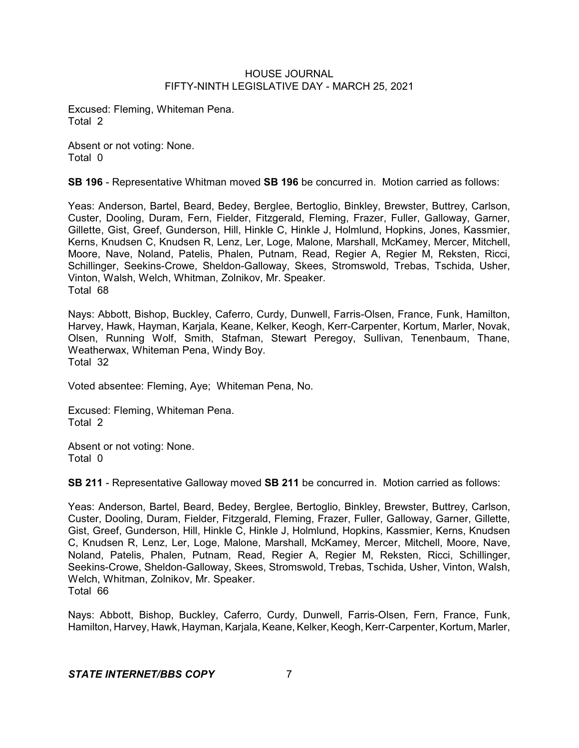Excused: Fleming, Whiteman Pena. Total 2

Absent or not voting: None. Total 0

**SB 196** - Representative Whitman moved **SB 196** be concurred in. Motion carried as follows:

Yeas: Anderson, Bartel, Beard, Bedey, Berglee, Bertoglio, Binkley, Brewster, Buttrey, Carlson, Custer, Dooling, Duram, Fern, Fielder, Fitzgerald, Fleming, Frazer, Fuller, Galloway, Garner, Gillette, Gist, Greef, Gunderson, Hill, Hinkle C, Hinkle J, Holmlund, Hopkins, Jones, Kassmier, Kerns, Knudsen C, Knudsen R, Lenz, Ler, Loge, Malone, Marshall, McKamey, Mercer, Mitchell, Moore, Nave, Noland, Patelis, Phalen, Putnam, Read, Regier A, Regier M, Reksten, Ricci, Schillinger, Seekins-Crowe, Sheldon-Galloway, Skees, Stromswold, Trebas, Tschida, Usher, Vinton, Walsh, Welch, Whitman, Zolnikov, Mr. Speaker. Total 68

Nays: Abbott, Bishop, Buckley, Caferro, Curdy, Dunwell, Farris-Olsen, France, Funk, Hamilton, Harvey, Hawk, Hayman, Karjala, Keane, Kelker, Keogh, Kerr-Carpenter, Kortum, Marler, Novak, Olsen, Running Wolf, Smith, Stafman, Stewart Peregoy, Sullivan, Tenenbaum, Thane, Weatherwax, Whiteman Pena, Windy Boy. Total 32

Voted absentee: Fleming, Aye; Whiteman Pena, No.

Excused: Fleming, Whiteman Pena. Total 2

Absent or not voting: None. Total 0

**SB 211** - Representative Galloway moved **SB 211** be concurred in. Motion carried as follows:

Yeas: Anderson, Bartel, Beard, Bedey, Berglee, Bertoglio, Binkley, Brewster, Buttrey, Carlson, Custer, Dooling, Duram, Fielder, Fitzgerald, Fleming, Frazer, Fuller, Galloway, Garner, Gillette, Gist, Greef, Gunderson, Hill, Hinkle C, Hinkle J, Holmlund, Hopkins, Kassmier, Kerns, Knudsen C, Knudsen R, Lenz, Ler, Loge, Malone, Marshall, McKamey, Mercer, Mitchell, Moore, Nave, Noland, Patelis, Phalen, Putnam, Read, Regier A, Regier M, Reksten, Ricci, Schillinger, Seekins-Crowe, Sheldon-Galloway, Skees, Stromswold, Trebas, Tschida, Usher, Vinton, Walsh, Welch, Whitman, Zolnikov, Mr. Speaker. Total 66

Nays: Abbott, Bishop, Buckley, Caferro, Curdy, Dunwell, Farris-Olsen, Fern, France, Funk, Hamilton, Harvey, Hawk, Hayman, Karjala, Keane, Kelker, Keogh, Kerr-Carpenter, Kortum, Marler,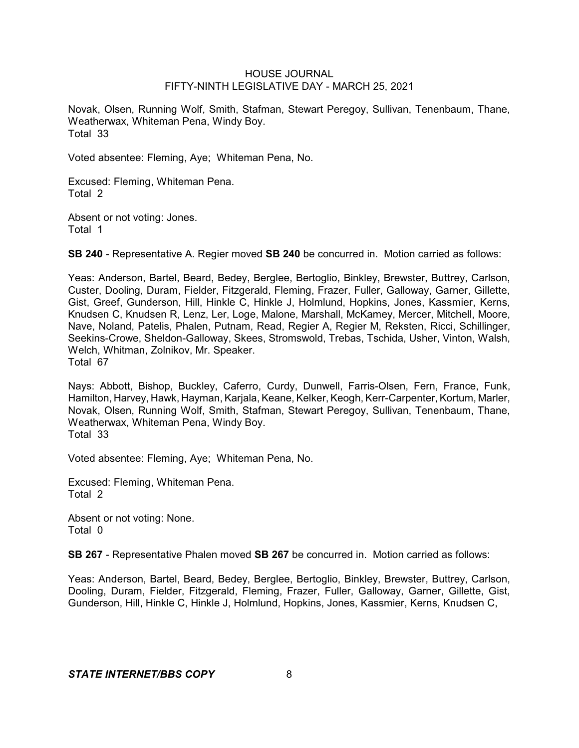Novak, Olsen, Running Wolf, Smith, Stafman, Stewart Peregoy, Sullivan, Tenenbaum, Thane, Weatherwax, Whiteman Pena, Windy Boy. Total 33

Voted absentee: Fleming, Aye; Whiteman Pena, No.

Excused: Fleming, Whiteman Pena. Total 2

Absent or not voting: Jones. Total 1

**SB 240** - Representative A. Regier moved **SB 240** be concurred in. Motion carried as follows:

Yeas: Anderson, Bartel, Beard, Bedey, Berglee, Bertoglio, Binkley, Brewster, Buttrey, Carlson, Custer, Dooling, Duram, Fielder, Fitzgerald, Fleming, Frazer, Fuller, Galloway, Garner, Gillette, Gist, Greef, Gunderson, Hill, Hinkle C, Hinkle J, Holmlund, Hopkins, Jones, Kassmier, Kerns, Knudsen C, Knudsen R, Lenz, Ler, Loge, Malone, Marshall, McKamey, Mercer, Mitchell, Moore, Nave, Noland, Patelis, Phalen, Putnam, Read, Regier A, Regier M, Reksten, Ricci, Schillinger, Seekins-Crowe, Sheldon-Galloway, Skees, Stromswold, Trebas, Tschida, Usher, Vinton, Walsh, Welch, Whitman, Zolnikov, Mr. Speaker. Total 67

Nays: Abbott, Bishop, Buckley, Caferro, Curdy, Dunwell, Farris-Olsen, Fern, France, Funk, Hamilton, Harvey, Hawk, Hayman, Karjala, Keane, Kelker, Keogh, Kerr-Carpenter, Kortum, Marler, Novak, Olsen, Running Wolf, Smith, Stafman, Stewart Peregoy, Sullivan, Tenenbaum, Thane, Weatherwax, Whiteman Pena, Windy Boy. Total 33

Voted absentee: Fleming, Aye; Whiteman Pena, No.

Excused: Fleming, Whiteman Pena. Total 2

Absent or not voting: None. Total 0

**SB 267** - Representative Phalen moved **SB 267** be concurred in. Motion carried as follows:

Yeas: Anderson, Bartel, Beard, Bedey, Berglee, Bertoglio, Binkley, Brewster, Buttrey, Carlson, Dooling, Duram, Fielder, Fitzgerald, Fleming, Frazer, Fuller, Galloway, Garner, Gillette, Gist, Gunderson, Hill, Hinkle C, Hinkle J, Holmlund, Hopkins, Jones, Kassmier, Kerns, Knudsen C,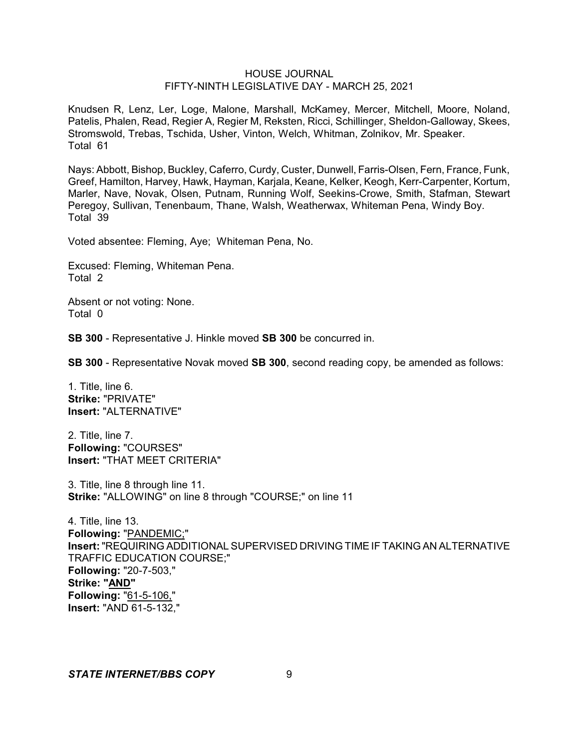Knudsen R, Lenz, Ler, Loge, Malone, Marshall, McKamey, Mercer, Mitchell, Moore, Noland, Patelis, Phalen, Read, Regier A, Regier M, Reksten, Ricci, Schillinger, Sheldon-Galloway, Skees, Stromswold, Trebas, Tschida, Usher, Vinton, Welch, Whitman, Zolnikov, Mr. Speaker. Total 61

Nays: Abbott, Bishop, Buckley, Caferro, Curdy, Custer, Dunwell, Farris-Olsen, Fern, France, Funk, Greef, Hamilton, Harvey, Hawk, Hayman, Karjala, Keane, Kelker, Keogh, Kerr-Carpenter, Kortum, Marler, Nave, Novak, Olsen, Putnam, Running Wolf, Seekins-Crowe, Smith, Stafman, Stewart Peregoy, Sullivan, Tenenbaum, Thane, Walsh, Weatherwax, Whiteman Pena, Windy Boy. Total 39

Voted absentee: Fleming, Aye; Whiteman Pena, No.

Excused: Fleming, Whiteman Pena. Total 2

Absent or not voting: None. Total 0

**SB 300** - Representative J. Hinkle moved **SB 300** be concurred in.

**SB 300** - Representative Novak moved **SB 300**, second reading copy, be amended as follows:

1. Title, line 6. **Strike:** "PRIVATE" **Insert:** "ALTERNATIVE"

2. Title, line 7. **Following:** "COURSES" **Insert:** "THAT MEET CRITERIA"

3. Title, line 8 through line 11. **Strike:** "ALLOWING" on line 8 through "COURSE;" on line 11

4. Title, line 13. **Following:** "PANDEMIC;" **Insert:**"REQUIRING ADDITIONAL SUPERVISED DRIVING TIME IF TAKING AN ALTERNATIVE TRAFFIC EDUCATION COURSE;" **Following:** "20-7-503," **Strike: "AND" Following:** "61-5-106," **Insert:** "AND 61-5-132,"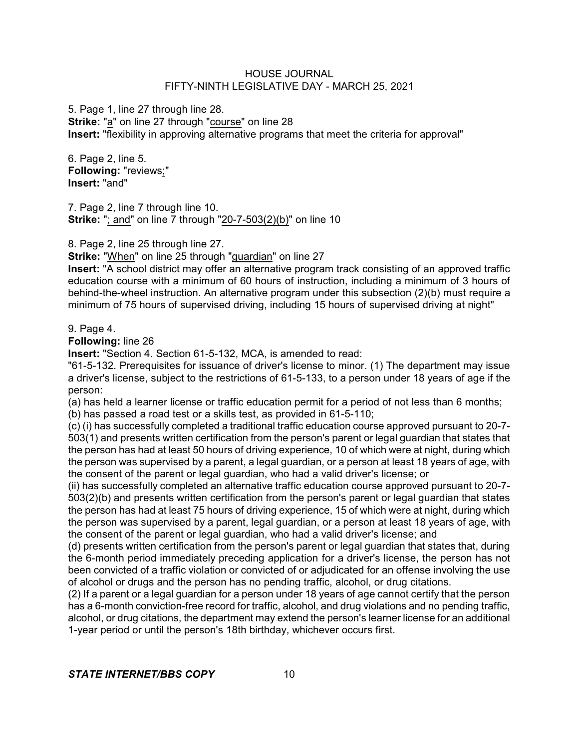5. Page 1, line 27 through line 28. **Strike:** "a" on line 27 through "course" on line 28 **Insert:** "flexibility in approving alternative programs that meet the criteria for approval"

6. Page 2, line 5. **Following:** "reviews;" **Insert:** "and"

7. Page 2, line 7 through line 10. **Strike:** "; and" on line 7 through "20-7-503(2)(b)" on line 10

8. Page 2, line 25 through line 27.

**Strike:** "When" on line 25 through "guardian" on line 27

**Insert:** "A school district may offer an alternative program track consisting of an approved traffic education course with a minimum of 60 hours of instruction, including a minimum of 3 hours of behind-the-wheel instruction. An alternative program under this subsection (2)(b) must require a minimum of 75 hours of supervised driving, including 15 hours of supervised driving at night"

# 9. Page 4.

**Following:** line 26

**Insert:** "Section 4. Section 61-5-132, MCA, is amended to read:

"61-5-132. Prerequisites for issuance of driver's license to minor. (1) The department may issue a driver's license, subject to the restrictions of 61-5-133, to a person under 18 years of age if the person:

(a) has held a learner license or traffic education permit for a period of not less than 6 months;

(b) has passed a road test or a skills test, as provided in 61-5-110;

(c) (i) has successfully completed a traditional traffic education course approved pursuant to 20-7- 503(1) and presents written certification from the person's parent or legal guardian that states that the person has had at least 50 hours of driving experience, 10 of which were at night, during which the person was supervised by a parent, a legal guardian, or a person at least 18 years of age, with the consent of the parent or legal guardian, who had a valid driver's license; or

(ii) has successfully completed an alternative traffic education course approved pursuant to 20-7- 503(2)(b) and presents written certification from the person's parent or legal guardian that states the person has had at least 75 hours of driving experience, 15 of which were at night, during which the person was supervised by a parent, legal guardian, or a person at least 18 years of age, with the consent of the parent or legal guardian, who had a valid driver's license; and

(d) presents written certification from the person's parent or legal guardian that states that, during the 6-month period immediately preceding application for a driver's license, the person has not been convicted of a traffic violation or convicted of or adjudicated for an offense involving the use of alcohol or drugs and the person has no pending traffic, alcohol, or drug citations.

(2) If a parent or a legal guardian for a person under 18 years of age cannot certify that the person has a 6-month conviction-free record for traffic, alcohol, and drug violations and no pending traffic, alcohol, or drug citations, the department may extend the person's learner license for an additional 1-year period or until the person's 18th birthday, whichever occurs first.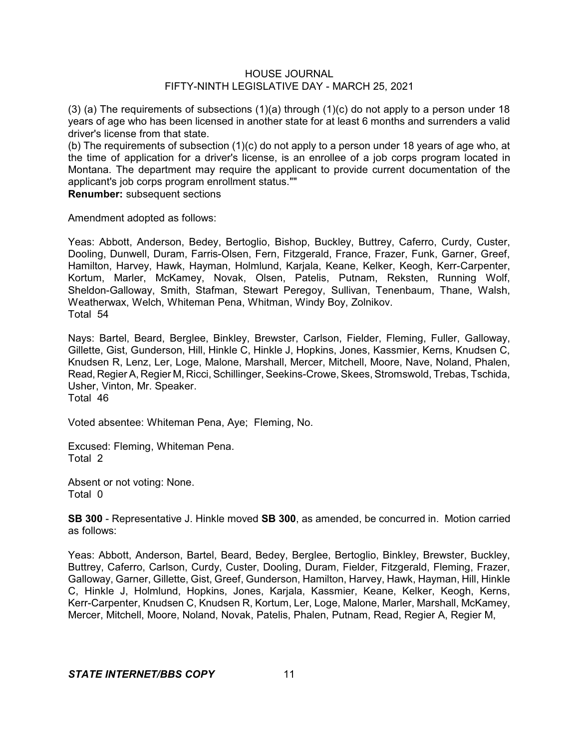(3) (a) The requirements of subsections  $(1)(a)$  through  $(1)(c)$  do not apply to a person under 18 years of age who has been licensed in another state for at least 6 months and surrenders a valid driver's license from that state.

(b) The requirements of subsection (1)(c) do not apply to a person under 18 years of age who, at the time of application for a driver's license, is an enrollee of a job corps program located in Montana. The department may require the applicant to provide current documentation of the applicant's job corps program enrollment status.""

**Renumber:** subsequent sections

Amendment adopted as follows:

Yeas: Abbott, Anderson, Bedey, Bertoglio, Bishop, Buckley, Buttrey, Caferro, Curdy, Custer, Dooling, Dunwell, Duram, Farris-Olsen, Fern, Fitzgerald, France, Frazer, Funk, Garner, Greef, Hamilton, Harvey, Hawk, Hayman, Holmlund, Karjala, Keane, Kelker, Keogh, Kerr-Carpenter, Kortum, Marler, McKamey, Novak, Olsen, Patelis, Putnam, Reksten, Running Wolf, Sheldon-Galloway, Smith, Stafman, Stewart Peregoy, Sullivan, Tenenbaum, Thane, Walsh, Weatherwax, Welch, Whiteman Pena, Whitman, Windy Boy, Zolnikov. Total 54

Nays: Bartel, Beard, Berglee, Binkley, Brewster, Carlson, Fielder, Fleming, Fuller, Galloway, Gillette, Gist, Gunderson, Hill, Hinkle C, Hinkle J, Hopkins, Jones, Kassmier, Kerns, Knudsen C, Knudsen R, Lenz, Ler, Loge, Malone, Marshall, Mercer, Mitchell, Moore, Nave, Noland, Phalen, Read, Regier A, Regier M, Ricci, Schillinger, Seekins-Crowe, Skees, Stromswold, Trebas, Tschida, Usher, Vinton, Mr. Speaker. Total 46

Voted absentee: Whiteman Pena, Aye; Fleming, No.

Excused: Fleming, Whiteman Pena. Total 2

Absent or not voting: None. Total 0

**SB 300** - Representative J. Hinkle moved **SB 300**, as amended, be concurred in. Motion carried as follows:

Yeas: Abbott, Anderson, Bartel, Beard, Bedey, Berglee, Bertoglio, Binkley, Brewster, Buckley, Buttrey, Caferro, Carlson, Curdy, Custer, Dooling, Duram, Fielder, Fitzgerald, Fleming, Frazer, Galloway, Garner, Gillette, Gist, Greef, Gunderson, Hamilton, Harvey, Hawk, Hayman, Hill, Hinkle C, Hinkle J, Holmlund, Hopkins, Jones, Karjala, Kassmier, Keane, Kelker, Keogh, Kerns, Kerr-Carpenter, Knudsen C, Knudsen R, Kortum, Ler, Loge, Malone, Marler, Marshall, McKamey, Mercer, Mitchell, Moore, Noland, Novak, Patelis, Phalen, Putnam, Read, Regier A, Regier M,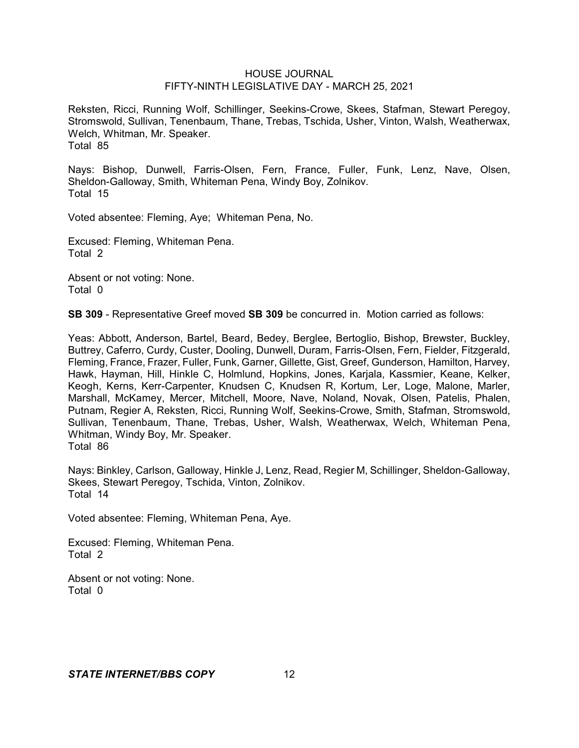Reksten, Ricci, Running Wolf, Schillinger, Seekins-Crowe, Skees, Stafman, Stewart Peregoy, Stromswold, Sullivan, Tenenbaum, Thane, Trebas, Tschida, Usher, Vinton, Walsh, Weatherwax, Welch, Whitman, Mr. Speaker. Total 85

Nays: Bishop, Dunwell, Farris-Olsen, Fern, France, Fuller, Funk, Lenz, Nave, Olsen, Sheldon-Galloway, Smith, Whiteman Pena, Windy Boy, Zolnikov. Total 15

Voted absentee: Fleming, Aye; Whiteman Pena, No.

Excused: Fleming, Whiteman Pena. Total 2

Absent or not voting: None. Total 0

**SB 309** - Representative Greef moved **SB 309** be concurred in. Motion carried as follows:

Yeas: Abbott, Anderson, Bartel, Beard, Bedey, Berglee, Bertoglio, Bishop, Brewster, Buckley, Buttrey, Caferro, Curdy, Custer, Dooling, Dunwell, Duram, Farris-Olsen, Fern, Fielder, Fitzgerald, Fleming, France, Frazer, Fuller, Funk, Garner, Gillette, Gist, Greef, Gunderson, Hamilton, Harvey, Hawk, Hayman, Hill, Hinkle C, Holmlund, Hopkins, Jones, Karjala, Kassmier, Keane, Kelker, Keogh, Kerns, Kerr-Carpenter, Knudsen C, Knudsen R, Kortum, Ler, Loge, Malone, Marler, Marshall, McKamey, Mercer, Mitchell, Moore, Nave, Noland, Novak, Olsen, Patelis, Phalen, Putnam, Regier A, Reksten, Ricci, Running Wolf, Seekins-Crowe, Smith, Stafman, Stromswold, Sullivan, Tenenbaum, Thane, Trebas, Usher, Walsh, Weatherwax, Welch, Whiteman Pena, Whitman, Windy Boy, Mr. Speaker. Total 86

Nays: Binkley, Carlson, Galloway, Hinkle J, Lenz, Read, Regier M, Schillinger, Sheldon-Galloway, Skees, Stewart Peregoy, Tschida, Vinton, Zolnikov. Total 14

Voted absentee: Fleming, Whiteman Pena, Aye.

Excused: Fleming, Whiteman Pena. Total 2

Absent or not voting: None. Total 0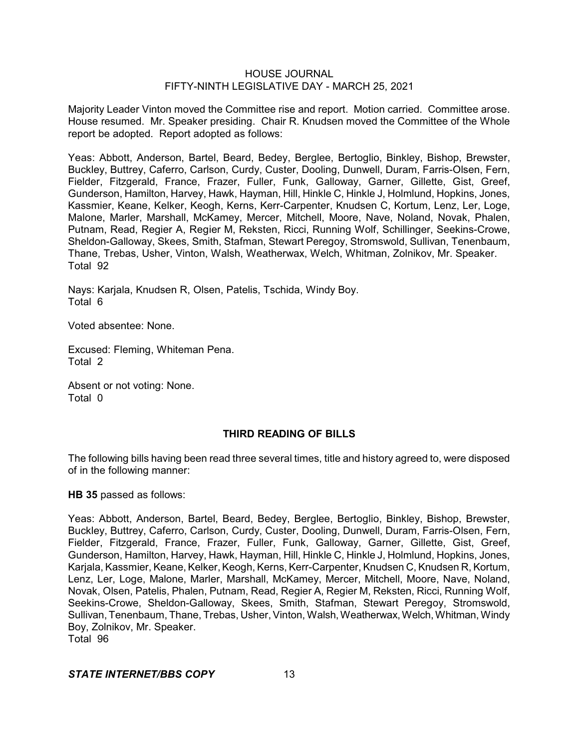Majority Leader Vinton moved the Committee rise and report. Motion carried. Committee arose. House resumed. Mr. Speaker presiding. Chair R. Knudsen moved the Committee of the Whole report be adopted. Report adopted as follows:

Yeas: Abbott, Anderson, Bartel, Beard, Bedey, Berglee, Bertoglio, Binkley, Bishop, Brewster, Buckley, Buttrey, Caferro, Carlson, Curdy, Custer, Dooling, Dunwell, Duram, Farris-Olsen, Fern, Fielder, Fitzgerald, France, Frazer, Fuller, Funk, Galloway, Garner, Gillette, Gist, Greef, Gunderson, Hamilton, Harvey, Hawk, Hayman, Hill, Hinkle C, Hinkle J, Holmlund, Hopkins, Jones, Kassmier, Keane, Kelker, Keogh, Kerns, Kerr-Carpenter, Knudsen C, Kortum, Lenz, Ler, Loge, Malone, Marler, Marshall, McKamey, Mercer, Mitchell, Moore, Nave, Noland, Novak, Phalen, Putnam, Read, Regier A, Regier M, Reksten, Ricci, Running Wolf, Schillinger, Seekins-Crowe, Sheldon-Galloway, Skees, Smith, Stafman, Stewart Peregoy, Stromswold, Sullivan, Tenenbaum, Thane, Trebas, Usher, Vinton, Walsh, Weatherwax, Welch, Whitman, Zolnikov, Mr. Speaker. Total 92

Nays: Karjala, Knudsen R, Olsen, Patelis, Tschida, Windy Boy. Total 6

Voted absentee: None.

Excused: Fleming, Whiteman Pena. Total 2

Absent or not voting: None. Total 0

### **THIRD READING OF BILLS**

The following bills having been read three several times, title and history agreed to, were disposed of in the following manner:

**HB 35** passed as follows:

Yeas: Abbott, Anderson, Bartel, Beard, Bedey, Berglee, Bertoglio, Binkley, Bishop, Brewster, Buckley, Buttrey, Caferro, Carlson, Curdy, Custer, Dooling, Dunwell, Duram, Farris-Olsen, Fern, Fielder, Fitzgerald, France, Frazer, Fuller, Funk, Galloway, Garner, Gillette, Gist, Greef, Gunderson, Hamilton, Harvey, Hawk, Hayman, Hill, Hinkle C, Hinkle J, Holmlund, Hopkins, Jones, Karjala, Kassmier, Keane, Kelker, Keogh, Kerns, Kerr-Carpenter, Knudsen C, Knudsen R, Kortum, Lenz, Ler, Loge, Malone, Marler, Marshall, McKamey, Mercer, Mitchell, Moore, Nave, Noland, Novak, Olsen, Patelis, Phalen, Putnam, Read, Regier A, Regier M, Reksten, Ricci, Running Wolf, Seekins-Crowe, Sheldon-Galloway, Skees, Smith, Stafman, Stewart Peregoy, Stromswold, Sullivan, Tenenbaum, Thane, Trebas, Usher, Vinton, Walsh, Weatherwax, Welch, Whitman, Windy Boy, Zolnikov, Mr. Speaker. Total 96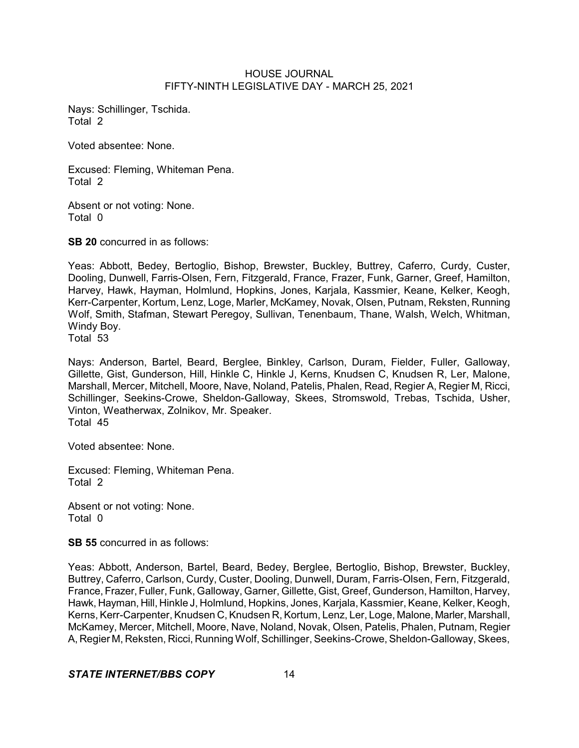Nays: Schillinger, Tschida. Total 2

Voted absentee: None.

Excused: Fleming, Whiteman Pena. Total 2

Absent or not voting: None. Total 0

**SB 20** concurred in as follows:

Yeas: Abbott, Bedey, Bertoglio, Bishop, Brewster, Buckley, Buttrey, Caferro, Curdy, Custer, Dooling, Dunwell, Farris-Olsen, Fern, Fitzgerald, France, Frazer, Funk, Garner, Greef, Hamilton, Harvey, Hawk, Hayman, Holmlund, Hopkins, Jones, Karjala, Kassmier, Keane, Kelker, Keogh, Kerr-Carpenter, Kortum, Lenz, Loge, Marler, McKamey, Novak, Olsen, Putnam, Reksten, Running Wolf, Smith, Stafman, Stewart Peregoy, Sullivan, Tenenbaum, Thane, Walsh, Welch, Whitman, Windy Boy.

Total 53

Nays: Anderson, Bartel, Beard, Berglee, Binkley, Carlson, Duram, Fielder, Fuller, Galloway, Gillette, Gist, Gunderson, Hill, Hinkle C, Hinkle J, Kerns, Knudsen C, Knudsen R, Ler, Malone, Marshall, Mercer, Mitchell, Moore, Nave, Noland, Patelis, Phalen, Read, Regier A, Regier M, Ricci, Schillinger, Seekins-Crowe, Sheldon-Galloway, Skees, Stromswold, Trebas, Tschida, Usher, Vinton, Weatherwax, Zolnikov, Mr. Speaker. Total 45

Voted absentee: None.

Excused: Fleming, Whiteman Pena. Total 2

Absent or not voting: None. Total 0

**SB 55** concurred in as follows:

Yeas: Abbott, Anderson, Bartel, Beard, Bedey, Berglee, Bertoglio, Bishop, Brewster, Buckley, Buttrey, Caferro, Carlson, Curdy, Custer, Dooling, Dunwell, Duram, Farris-Olsen, Fern, Fitzgerald, France, Frazer, Fuller, Funk, Galloway, Garner, Gillette, Gist, Greef, Gunderson, Hamilton, Harvey, Hawk, Hayman, Hill, Hinkle J, Holmlund, Hopkins, Jones, Karjala, Kassmier, Keane, Kelker, Keogh, Kerns, Kerr-Carpenter, Knudsen C, Knudsen R, Kortum, Lenz, Ler, Loge, Malone, Marler, Marshall, McKamey, Mercer, Mitchell, Moore, Nave, Noland, Novak, Olsen, Patelis, Phalen, Putnam, Regier A, Regier M, Reksten, Ricci, Running Wolf, Schillinger, Seekins-Crowe, Sheldon-Galloway, Skees,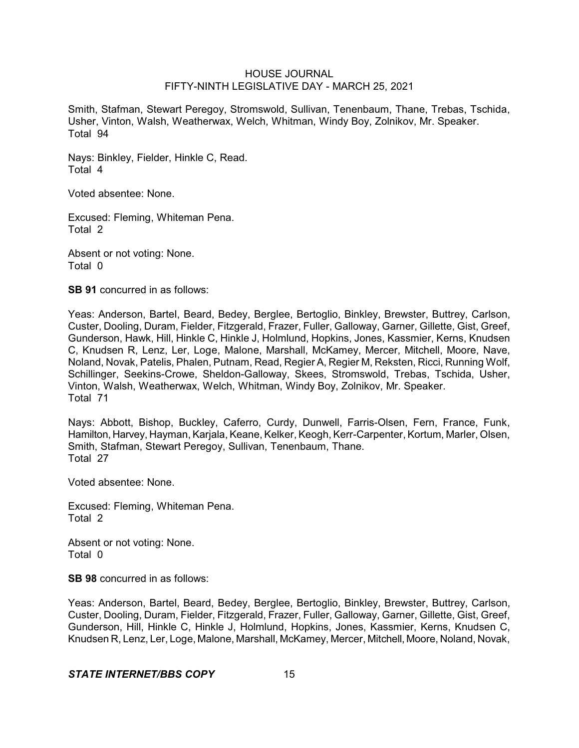Smith, Stafman, Stewart Peregoy, Stromswold, Sullivan, Tenenbaum, Thane, Trebas, Tschida, Usher, Vinton, Walsh, Weatherwax, Welch, Whitman, Windy Boy, Zolnikov, Mr. Speaker. Total 94

Nays: Binkley, Fielder, Hinkle C, Read. Total 4

Voted absentee: None.

Excused: Fleming, Whiteman Pena. Total 2

Absent or not voting: None. Total 0

**SB 91** concurred in as follows:

Yeas: Anderson, Bartel, Beard, Bedey, Berglee, Bertoglio, Binkley, Brewster, Buttrey, Carlson, Custer, Dooling, Duram, Fielder, Fitzgerald, Frazer, Fuller, Galloway, Garner, Gillette, Gist, Greef, Gunderson, Hawk, Hill, Hinkle C, Hinkle J, Holmlund, Hopkins, Jones, Kassmier, Kerns, Knudsen C, Knudsen R, Lenz, Ler, Loge, Malone, Marshall, McKamey, Mercer, Mitchell, Moore, Nave, Noland, Novak, Patelis, Phalen, Putnam, Read, Regier A, Regier M, Reksten, Ricci, Running Wolf, Schillinger, Seekins-Crowe, Sheldon-Galloway, Skees, Stromswold, Trebas, Tschida, Usher, Vinton, Walsh, Weatherwax, Welch, Whitman, Windy Boy, Zolnikov, Mr. Speaker. Total 71

Nays: Abbott, Bishop, Buckley, Caferro, Curdy, Dunwell, Farris-Olsen, Fern, France, Funk, Hamilton, Harvey, Hayman, Karjala, Keane, Kelker, Keogh, Kerr-Carpenter, Kortum, Marler, Olsen, Smith, Stafman, Stewart Peregoy, Sullivan, Tenenbaum, Thane. Total 27

Voted absentee: None.

Excused: Fleming, Whiteman Pena. Total 2

Absent or not voting: None. Total 0

**SB 98** concurred in as follows:

Yeas: Anderson, Bartel, Beard, Bedey, Berglee, Bertoglio, Binkley, Brewster, Buttrey, Carlson, Custer, Dooling, Duram, Fielder, Fitzgerald, Frazer, Fuller, Galloway, Garner, Gillette, Gist, Greef, Gunderson, Hill, Hinkle C, Hinkle J, Holmlund, Hopkins, Jones, Kassmier, Kerns, Knudsen C, Knudsen R, Lenz, Ler, Loge, Malone, Marshall, McKamey, Mercer, Mitchell, Moore, Noland, Novak,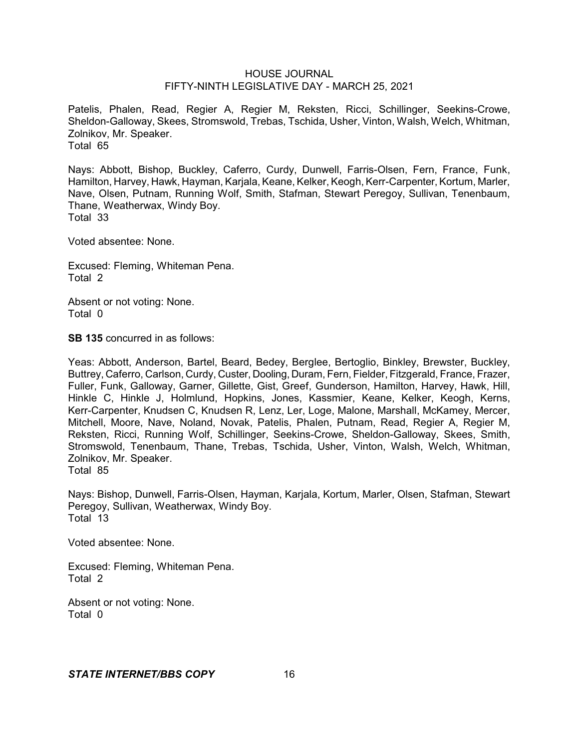Patelis, Phalen, Read, Regier A, Regier M, Reksten, Ricci, Schillinger, Seekins-Crowe, Sheldon-Galloway, Skees, Stromswold, Trebas, Tschida, Usher, Vinton, Walsh, Welch, Whitman, Zolnikov, Mr. Speaker. Total 65

Nays: Abbott, Bishop, Buckley, Caferro, Curdy, Dunwell, Farris-Olsen, Fern, France, Funk, Hamilton, Harvey, Hawk, Hayman, Karjala, Keane, Kelker, Keogh, Kerr-Carpenter, Kortum, Marler, Nave, Olsen, Putnam, Running Wolf, Smith, Stafman, Stewart Peregoy, Sullivan, Tenenbaum, Thane, Weatherwax, Windy Boy. Total 33

Voted absentee: None.

Excused: Fleming, Whiteman Pena. Total 2

Absent or not voting: None. Total 0

**SB 135** concurred in as follows:

Yeas: Abbott, Anderson, Bartel, Beard, Bedey, Berglee, Bertoglio, Binkley, Brewster, Buckley, Buttrey, Caferro, Carlson, Curdy, Custer, Dooling, Duram, Fern, Fielder, Fitzgerald, France, Frazer, Fuller, Funk, Galloway, Garner, Gillette, Gist, Greef, Gunderson, Hamilton, Harvey, Hawk, Hill, Hinkle C, Hinkle J, Holmlund, Hopkins, Jones, Kassmier, Keane, Kelker, Keogh, Kerns, Kerr-Carpenter, Knudsen C, Knudsen R, Lenz, Ler, Loge, Malone, Marshall, McKamey, Mercer, Mitchell, Moore, Nave, Noland, Novak, Patelis, Phalen, Putnam, Read, Regier A, Regier M, Reksten, Ricci, Running Wolf, Schillinger, Seekins-Crowe, Sheldon-Galloway, Skees, Smith, Stromswold, Tenenbaum, Thane, Trebas, Tschida, Usher, Vinton, Walsh, Welch, Whitman, Zolnikov, Mr. Speaker. Total 85

Nays: Bishop, Dunwell, Farris-Olsen, Hayman, Karjala, Kortum, Marler, Olsen, Stafman, Stewart Peregoy, Sullivan, Weatherwax, Windy Boy. Total 13

Voted absentee: None.

Excused: Fleming, Whiteman Pena. Total 2

Absent or not voting: None. Total 0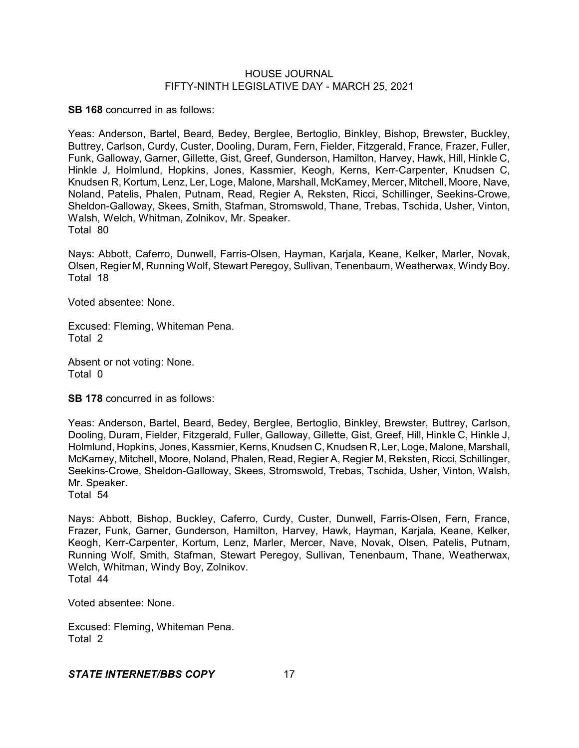**SB 168** concurred in as follows:

Yeas: Anderson, Bartel, Beard, Bedey, Berglee, Bertoglio, Binkley, Bishop, Brewster, Buckley, Buttrey, Carlson, Curdy, Custer, Dooling, Duram, Fern, Fielder, Fitzgerald, France, Frazer, Fuller, Funk, Galloway, Garner, Gillette, Gist, Greef, Gunderson, Hamilton, Harvey, Hawk, Hill, Hinkle C, Hinkle J, Holmlund, Hopkins, Jones, Kassmier, Keogh, Kerns, Kerr-Carpenter, Knudsen C, Knudsen R, Kortum, Lenz, Ler, Loge, Malone, Marshall, McKamey, Mercer, Mitchell, Moore, Nave, Noland, Patelis, Phalen, Putnam, Read, Regier A, Reksten, Ricci, Schillinger, Seekins-Crowe, Sheldon-Galloway, Skees, Smith, Stafman, Stromswold, Thane, Trebas, Tschida, Usher, Vinton, Walsh, Welch, Whitman, Zolnikov, Mr. Speaker. Total 80

Nays: Abbott, Caferro, Dunwell, Farris-Olsen, Hayman, Karjala, Keane, Kelker, Marler, Novak, Olsen, Regier M, Running Wolf, Stewart Peregoy, Sullivan, Tenenbaum, Weatherwax, WindyBoy. Total 18

Voted absentee: None.

Excused: Fleming, Whiteman Pena. Total 2

Absent or not voting: None. Total 0

**SB 178** concurred in as follows:

Yeas: Anderson, Bartel, Beard, Bedey, Berglee, Bertoglio, Binkley, Brewster, Buttrey, Carlson, Dooling, Duram, Fielder, Fitzgerald, Fuller, Galloway, Gillette, Gist, Greef, Hill, Hinkle C, Hinkle J, Holmlund, Hopkins, Jones, Kassmier, Kerns, Knudsen C, Knudsen R, Ler, Loge, Malone, Marshall, McKamey, Mitchell, Moore, Noland, Phalen, Read, Regier A, Regier M, Reksten, Ricci, Schillinger, Seekins-Crowe, Sheldon-Galloway, Skees, Stromswold, Trebas, Tschida, Usher, Vinton, Walsh, Mr. Speaker.

Total 54

Nays: Abbott, Bishop, Buckley, Caferro, Curdy, Custer, Dunwell, Farris-Olsen, Fern, France, Frazer, Funk, Garner, Gunderson, Hamilton, Harvey, Hawk, Hayman, Karjala, Keane, Kelker, Keogh, Kerr-Carpenter, Kortum, Lenz, Marler, Mercer, Nave, Novak, Olsen, Patelis, Putnam, Running Wolf, Smith, Stafman, Stewart Peregoy, Sullivan, Tenenbaum, Thane, Weatherwax, Welch, Whitman, Windy Boy, Zolnikov. Total 44

Voted absentee: None.

Excused: Fleming, Whiteman Pena. Total 2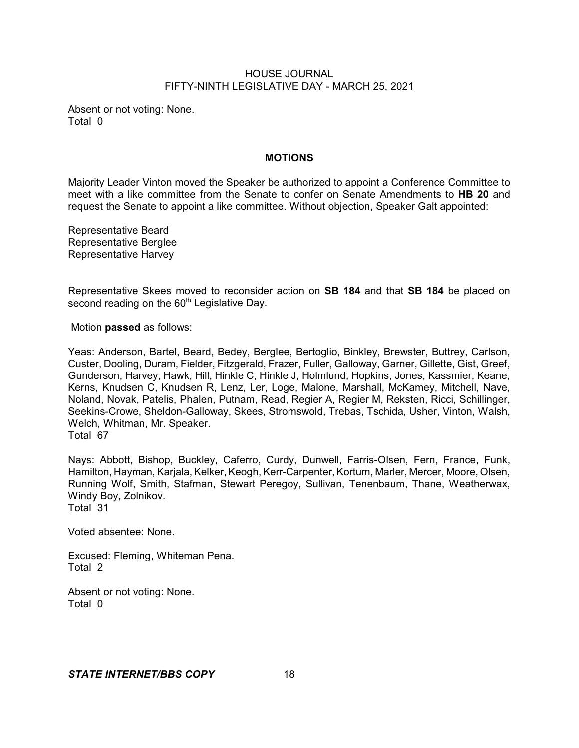Absent or not voting: None. Total 0

### **MOTIONS**

Majority Leader Vinton moved the Speaker be authorized to appoint a Conference Committee to meet with a like committee from the Senate to confer on Senate Amendments to **HB 20** and request the Senate to appoint a like committee. Without objection, Speaker Galt appointed:

Representative Beard Representative Berglee Representative Harvey

Representative Skees moved to reconsider action on **SB 184** and that **SB 184** be placed on second reading on the  $60<sup>th</sup>$  Legislative Day.

Motion **passed** as follows:

Yeas: Anderson, Bartel, Beard, Bedey, Berglee, Bertoglio, Binkley, Brewster, Buttrey, Carlson, Custer, Dooling, Duram, Fielder, Fitzgerald, Frazer, Fuller, Galloway, Garner, Gillette, Gist, Greef, Gunderson, Harvey, Hawk, Hill, Hinkle C, Hinkle J, Holmlund, Hopkins, Jones, Kassmier, Keane, Kerns, Knudsen C, Knudsen R, Lenz, Ler, Loge, Malone, Marshall, McKamey, Mitchell, Nave, Noland, Novak, Patelis, Phalen, Putnam, Read, Regier A, Regier M, Reksten, Ricci, Schillinger, Seekins-Crowe, Sheldon-Galloway, Skees, Stromswold, Trebas, Tschida, Usher, Vinton, Walsh, Welch, Whitman, Mr. Speaker. Total 67

Nays: Abbott, Bishop, Buckley, Caferro, Curdy, Dunwell, Farris-Olsen, Fern, France, Funk, Hamilton, Hayman, Karjala, Kelker, Keogh, Kerr-Carpenter, Kortum, Marler, Mercer, Moore, Olsen, Running Wolf, Smith, Stafman, Stewart Peregoy, Sullivan, Tenenbaum, Thane, Weatherwax, Windy Boy, Zolnikov. Total 31

Voted absentee: None.

Excused: Fleming, Whiteman Pena. Total 2

Absent or not voting: None. Total 0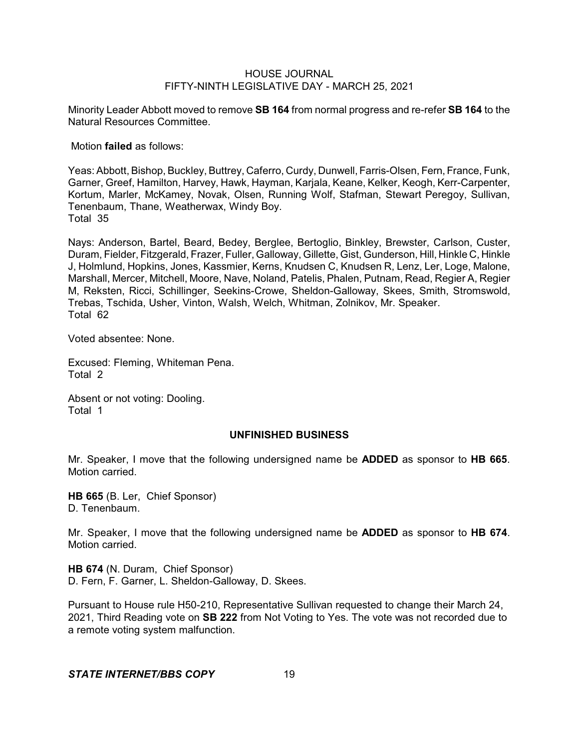Minority Leader Abbott moved to remove **SB 164** from normal progress and re-refer **SB 164** to the Natural Resources Committee.

Motion **failed** as follows:

Yeas: Abbott, Bishop, Buckley, Buttrey, Caferro, Curdy, Dunwell, Farris-Olsen, Fern, France, Funk, Garner, Greef, Hamilton, Harvey, Hawk, Hayman, Karjala, Keane, Kelker, Keogh, Kerr-Carpenter, Kortum, Marler, McKamey, Novak, Olsen, Running Wolf, Stafman, Stewart Peregoy, Sullivan, Tenenbaum, Thane, Weatherwax, Windy Boy. Total 35

Nays: Anderson, Bartel, Beard, Bedey, Berglee, Bertoglio, Binkley, Brewster, Carlson, Custer, Duram, Fielder, Fitzgerald, Frazer, Fuller, Galloway, Gillette, Gist, Gunderson, Hill, Hinkle C, Hinkle J, Holmlund, Hopkins, Jones, Kassmier, Kerns, Knudsen C, Knudsen R, Lenz, Ler, Loge, Malone, Marshall, Mercer, Mitchell, Moore, Nave, Noland, Patelis, Phalen, Putnam, Read, Regier A, Regier M, Reksten, Ricci, Schillinger, Seekins-Crowe, Sheldon-Galloway, Skees, Smith, Stromswold, Trebas, Tschida, Usher, Vinton, Walsh, Welch, Whitman, Zolnikov, Mr. Speaker. Total 62

Voted absentee: None.

Excused: Fleming, Whiteman Pena. Total 2

Absent or not voting: Dooling. Total 1

### **UNFINISHED BUSINESS**

Mr. Speaker, I move that the following undersigned name be **ADDED** as sponsor to **HB 665**. Motion carried.

**HB 665** (B. Ler, Chief Sponsor) D. Tenenbaum.

Mr. Speaker, I move that the following undersigned name be **ADDED** as sponsor to **HB 674**. Motion carried.

**HB 674** (N. Duram, Chief Sponsor) D. Fern, F. Garner, L. Sheldon-Galloway, D. Skees.

Pursuant to House rule H50-210, Representative Sullivan requested to change their March 24, 2021, Third Reading vote on **SB 222** from Not Voting to Yes. The vote was not recorded due to a remote voting system malfunction.